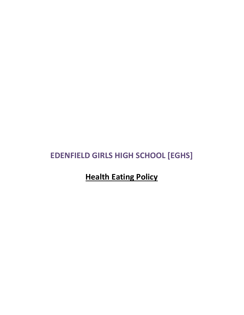## **EDENFIELD GIRLS HIGH SCHOOL [EGHS]**

**Health Eating Policy**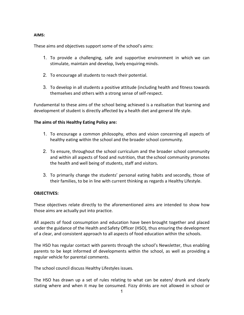## **AIMS:**

These aims and objectives support some of the school's aims:

- 1. To provide a challenging, safe and supportive environment in which we can stimulate, maintain and develop, lively enquiring minds.
- 2. To encourage all students to reach their potential.
- 3. To develop in all students a positive attitude (including health and fitness towards themselves and others with a strong sense of self-respect.

Fundamental to these aims of the school being achieved is a realisation that learning and development of student is directly affected by a health diet and general life style.

## **The aims of this Healthy Eating Policy are:**

- 1. To encourage a common philosophy, ethos and vision concerning all aspects of healthy eating within the school and the broader school community.
- 2. To ensure, throughout the school curriculum and the broader school community and within all aspects of food and nutrition, that the school community promotes the health and well being of students, staff and visitors.
- 3. To primarily change the students' personal eating habits and secondly, those of their families, to be in line with current thinking as regards a Healthy Lifestyle.

## **OBJECTIVES:**

These objectives relate directly to the aforementioned aims are intended to show how those aims are actually put into practice.

All aspects of food consumption and education have been brought together and placed under the guidance of the Health and Safety Officer (HSO), thus ensuring the development of a clear, and consistent approach to all aspects of food education within the schools.

The HSO has regular contact with parents through the school's Newsletter, thus enabling parents to be kept informed of developments within the school, as well as providing a regular vehicle for parental comments.

The school council discuss Healthy Lifestyles issues.

The HSO has drawn up a set of rules relating to what can be eaten/ drunk and clearly stating where and when it may be consumed. Fizzy drinks are not allowed in school or